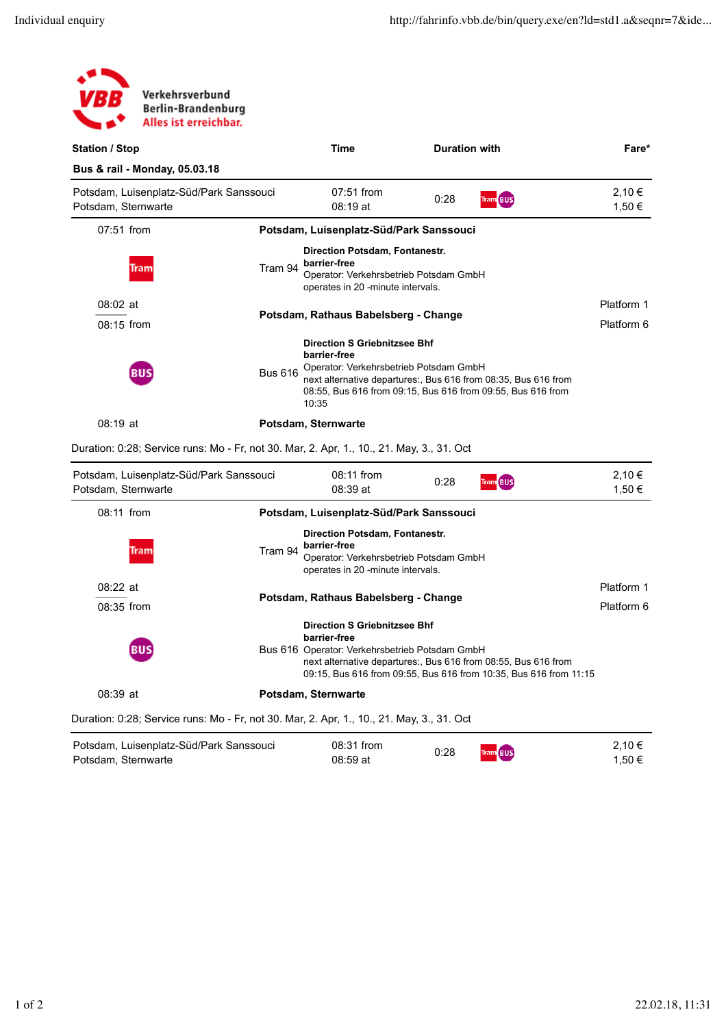| Verkehrsverbund<br>VBB<br><b>Berlin-Brandenburg</b><br>Alles ist erreichbar.              |         |                                                                                                                                                                                                                                                                                                                               |      |                      |                  |
|-------------------------------------------------------------------------------------------|---------|-------------------------------------------------------------------------------------------------------------------------------------------------------------------------------------------------------------------------------------------------------------------------------------------------------------------------------|------|----------------------|------------------|
| <b>Station / Stop</b>                                                                     |         | <b>Time</b>                                                                                                                                                                                                                                                                                                                   |      | <b>Duration with</b> | Fare*            |
| Bus & rail - Monday, 05.03.18                                                             |         |                                                                                                                                                                                                                                                                                                                               |      |                      |                  |
| Potsdam, Luisenplatz-Süd/Park Sanssouci<br>Potsdam, Sternwarte                            |         | 07:51 from<br>$08:19$ at                                                                                                                                                                                                                                                                                                      | 0:28 | Tram BUS             | 2,10 €<br>1,50 € |
| 07:51 from                                                                                |         | Potsdam, Luisenplatz-Süd/Park Sanssouci                                                                                                                                                                                                                                                                                       |      |                      |                  |
| <b>Tram</b>                                                                               | Tram 94 | Direction Potsdam, Fontanestr.<br>barrier-free<br>Operator: Verkehrsbetrieb Potsdam GmbH<br>operates in 20 -minute intervals.                                                                                                                                                                                                 |      |                      |                  |
| $08:02$ at<br>08:15 from                                                                  |         | Platform 1<br>Potsdam, Rathaus Babelsberg - Change<br>Platform 6<br><b>Direction S Griebnitzsee Bhf</b><br>barrier-free<br>Operator: Verkehrsbetrieb Potsdam GmbH<br><b>Bus 616</b><br>next alternative departures:, Bus 616 from 08:35, Bus 616 from<br>08:55, Bus 616 from 09:15, Bus 616 from 09:55, Bus 616 from<br>10:35 |      |                      |                  |
| [BUS]                                                                                     |         |                                                                                                                                                                                                                                                                                                                               |      |                      |                  |
| $08:19$ at                                                                                |         | Potsdam, Sternwarte                                                                                                                                                                                                                                                                                                           |      |                      |                  |
| Duration: 0:28; Service runs: Mo - Fr, not 30. Mar, 2. Apr, 1., 10., 21. May, 3., 31. Oct |         |                                                                                                                                                                                                                                                                                                                               |      |                      |                  |

| Potsdam, Luisenplatz-Süd/Park Sanssouci<br>Potsdam, Sternwarte                            | 08:11 from<br>08:39 at                                                                                                                                                                                                                       | 0:28 | <b>Tram BUS</b> | 2,10€<br>1,50 € |  |  |
|-------------------------------------------------------------------------------------------|----------------------------------------------------------------------------------------------------------------------------------------------------------------------------------------------------------------------------------------------|------|-----------------|-----------------|--|--|
| $08:11$ from                                                                              | Potsdam, Luisenplatz-Süd/Park Sanssouci                                                                                                                                                                                                      |      |                 |                 |  |  |
| Tram 94<br><b>Tram</b>                                                                    | Direction Potsdam, Fontanestr.<br>barrier-free<br>Operator: Verkehrsbetrieb Potsdam GmbH<br>operates in 20 -minute intervals.                                                                                                                |      |                 |                 |  |  |
| $08:22$ at                                                                                |                                                                                                                                                                                                                                              |      |                 |                 |  |  |
| $08:35$ from                                                                              | Potsdam, Rathaus Babelsberg - Change                                                                                                                                                                                                         |      |                 |                 |  |  |
| <b>BUS</b>                                                                                | <b>Direction S Griebnitzsee Bhf</b><br>barrier-free<br>Bus 616 Operator: Verkehrsbetrieb Potsdam GmbH<br>next alternative departures:, Bus 616 from 08:55, Bus 616 from<br>09:15, Bus 616 from 09:55, Bus 616 from 10:35, Bus 616 from 11:15 |      |                 |                 |  |  |
| $08:39$ at                                                                                | Potsdam, Sternwarte                                                                                                                                                                                                                          |      |                 |                 |  |  |
| Duration: 0:28; Service runs: Mo - Fr, not 30. Mar, 2. Apr, 1., 10., 21. May, 3., 31. Oct |                                                                                                                                                                                                                                              |      |                 |                 |  |  |
| Potsdam, Luisenplatz-Süd/Park Sanssouci<br>Potsdam, Sternwarte                            | 08:31 from<br>08:59 at                                                                                                                                                                                                                       | 0:28 | <b>Tram BUS</b> | 2,10€<br>1,50 € |  |  |